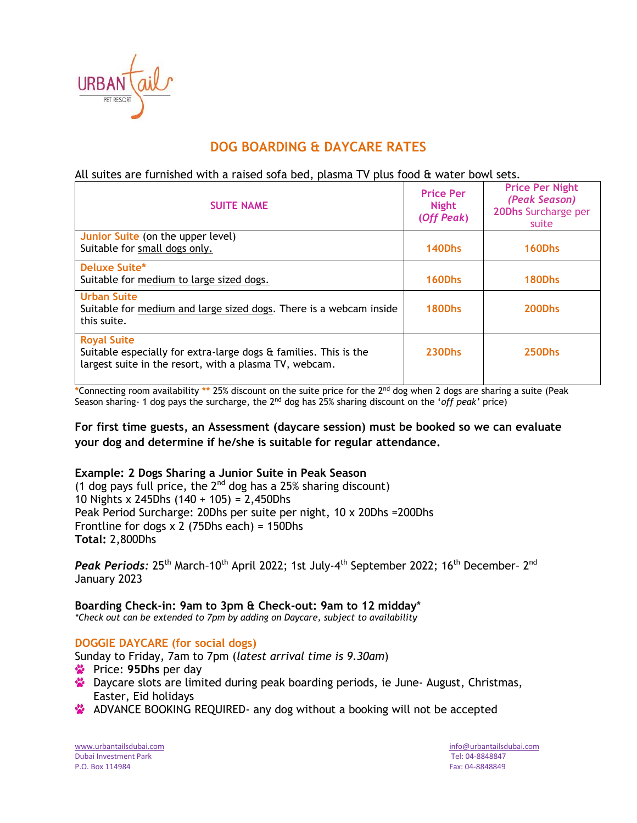

# **DOG BOARDING & DAYCARE RATES**

## All suites are furnished with a raised sofa bed, plasma TV plus food & water bowl sets.

| <b>SUITE NAME</b>                                                                                                                                | <b>Price Per</b><br><b>Night</b><br>(Off Peak) | <b>Price Per Night</b><br>(Peak Season)<br>20Dhs Surcharge per<br>suite |
|--------------------------------------------------------------------------------------------------------------------------------------------------|------------------------------------------------|-------------------------------------------------------------------------|
| Junior Suite (on the upper level)<br>Suitable for small dogs only.                                                                               | 140Dhs                                         | 160Dhs                                                                  |
| Deluxe Suite*<br>Suitable for medium to large sized dogs.                                                                                        | 160Dhs                                         | 180Dhs                                                                  |
| <b>Urban Suite</b><br>Suitable for medium and large sized dogs. There is a webcam inside<br>this suite.                                          | 180Dhs                                         | 200Dhs                                                                  |
| <b>Royal Suite</b><br>Suitable especially for extra-large dogs & families. This is the<br>largest suite in the resort, with a plasma TV, webcam. | <b>230Dhs</b>                                  | 250Dhs                                                                  |

**\***Connecting room availability **\*\*** 25% discount on the suite price for the 2nd dog when 2 dogs are sharing a suite (Peak Season sharing- 1 dog pays the surcharge, the 2nd dog has 25% sharing discount on the '*off peak'* price)

**For first time guests, an Assessment (daycare session) must be booked so we can evaluate your dog and determine if he/she is suitable for regular attendance.** 

#### **Example: 2 Dogs Sharing a Junior Suite in Peak Season**

(1 dog pays full price, the  $2^{nd}$  dog has a 25% sharing discount) 10 Nights x 245Dhs (140 + 105) = 2,450Dhs Peak Period Surcharge: 20Dhs per suite per night, 10 x 20Dhs =200Dhs Frontline for dogs x 2 (75Dhs each) = 150Dhs **Total:** 2,800Dhs

Peak Periods: 25<sup>th</sup> March-10<sup>th</sup> April 2022; 1st July-4<sup>th</sup> September 2022; 16<sup>th</sup> December- 2<sup>nd</sup> January 2023

**Boarding Check-in: 9am to 3pm & Check-out: 9am to 12 midday**\* *\*Check out can be extended to 7pm by adding on Daycare, subject to availability*

#### **DOGGIE DAYCARE (for social dogs)**

Sunday to Friday, 7am to 7pm (*latest arrival time is 9.30am*)

- Price: 95Dhs per day
- Daycare slots are limited during peak boarding periods, ie June- August, Christmas, Easter, Eid holidays
- **ADVANCE BOOKING REQUIRED-** any dog without a booking will not be accepted